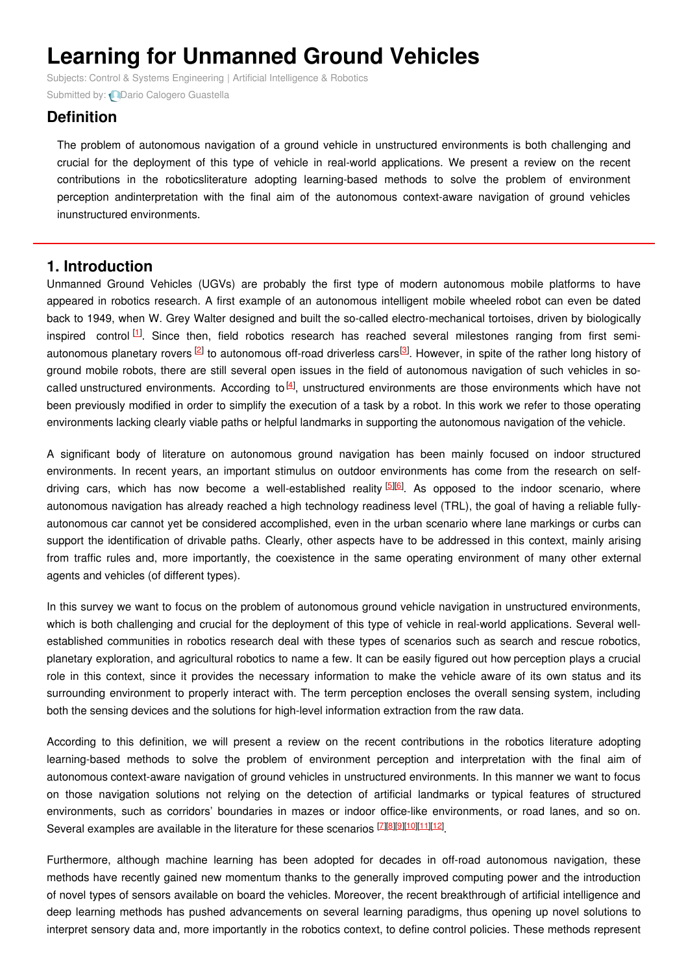# **Learning for Unmanned Ground Vehicles**

Subjects: Control & Systems [Engineering](https://encyclopedia.pub/item/subject/84) | Artificial [Intelligence](https://encyclopedia.pub/item/subject/95) & Robotics Submitted by: **D**ario Calogero [Guastella](https://sciprofiles.com/profile/716540)

## **Definition**

The problem of autonomous navigation of a ground vehicle in unstructured environments is both challenging and crucial for the deployment of this type of vehicle in real-world applications. We present a review on the recent contributions in the roboticsliterature adopting learning-based methods to solve the problem of environment perception andinterpretation with the final aim of the autonomous context-aware navigation of ground vehicles inunstructured environments.

## **1. Introduction**

Unmanned Ground Vehicles (UGVs) are probably the first type of modern autonomous mobile platforms to have appeared in robotics research. A first example of an autonomous intelligent mobile wheeled robot can even be dated back to 1949, when W. Grey Walter designed and built the so-called electro-mechanical tortoises, driven by biologically inspired control  $^{[1]}$  $^{[1]}$  $^{[1]}$ . Since then, field robotics research has reached several milestones ranging from first semi-autonomous planetary rovers <sup>[\[2](#page-3-1)]</sup> to autonomous off-road driverless cars<sup>[\[3](#page-3-2)]</sup>. However, in spite of the rather long history of ground mobile robots, there are still several open issues in the field of autonomous navigation of such vehicles in socalled unstructured environments. According to  $^{[4]}$  $^{[4]}$  $^{[4]}$ , unstructured environments are those environments which have not been previously modified in order to simplify the execution of a task by a robot. In this work we refer to those operating environments lacking clearly viable paths or helpful landmarks in supporting the autonomous navigation of the vehicle.

A significant body of literature on autonomous ground navigation has been mainly focused on indoor structured environments. In recent years, an important stimulus on outdoor environments has come from the research on selfdriving cars, which has now become a well-established reality **[\[5](#page-3-4)][\[6](#page-3-5)]**. As opposed to the indoor scenario, where autonomous navigation has already reached a high technology readiness level (TRL), the goal of having a reliable fullyautonomous car cannot yet be considered accomplished, even in the urban scenario where lane markings or curbs can support the identification of drivable paths. Clearly, other aspects have to be addressed in this context, mainly arising from traffic rules and, more importantly, the coexistence in the same operating environment of many other external agents and vehicles (of different types).

In this survey we want to focus on the problem of autonomous ground vehicle navigation in unstructured environments, which is both challenging and crucial for the deployment of this type of vehicle in real-world applications. Several wellestablished communities in robotics research deal with these types of scenarios such as search and rescue robotics, planetary exploration, and agricultural robotics to name a few. It can be easily figured out how perception plays a crucial role in this context, since it provides the necessary information to make the vehicle aware of its own status and its surrounding environment to properly interact with. The term perception encloses the overall sensing system, including both the sensing devices and the solutions for high-level information extraction from the raw data.

According to this definition, we will present a review on the recent contributions in the robotics literature adopting learning-based methods to solve the problem of environment perception and interpretation with the final aim of autonomous context-aware navigation of ground vehicles in unstructured environments. In this manner we want to focus on those navigation solutions not relying on the detection of artificial landmarks or typical features of structured environments, such as corridors' boundaries in mazes or indoor office-like environments, or road lanes, and so on. Several examples are available in the literature for these scenarios **[\[7](#page-3-6)][\[8](#page-3-7)][[9](#page-3-8)][\[10](#page-3-9)][\[11](#page-3-10)][\[12](#page-3-11)]** 

Furthermore, although machine learning has been adopted for decades in off-road autonomous navigation, these methods have recently gained new momentum thanks to the generally improved computing power and the introduction of novel types of sensors available on board the vehicles. Moreover, the recent breakthrough of artificial intelligence and deep learning methods has pushed advancements on several learning paradigms, thus opening up novel solutions to interpret sensory data and, more importantly in the robotics context, to define control policies. These methods represent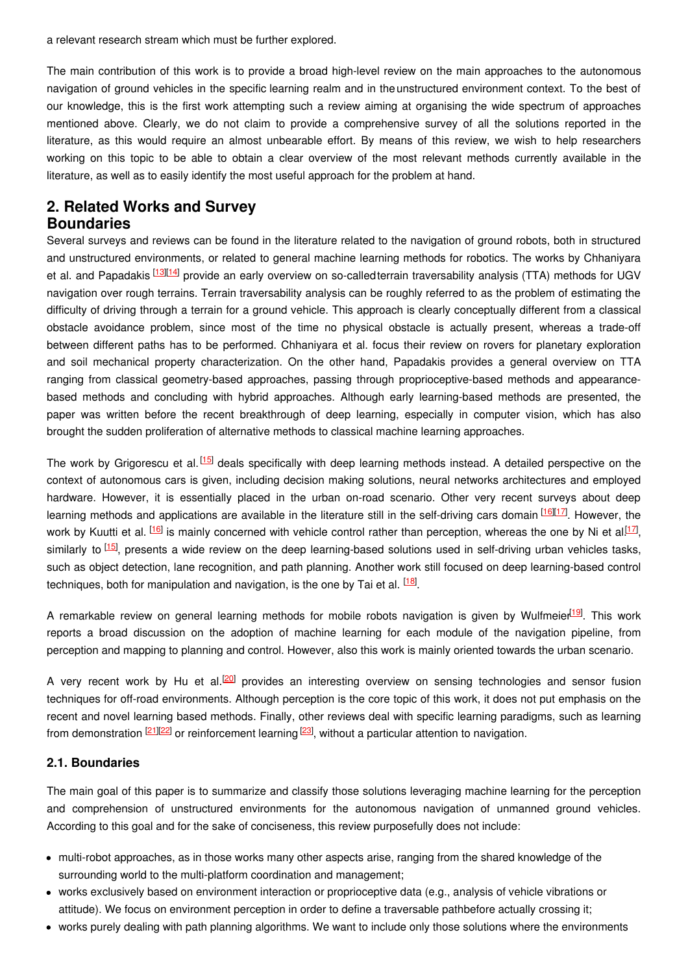a relevant research stream which must be further explored.

The main contribution of this work is to provide a broad high-level review on the main approaches to the autonomous navigation of ground vehicles in the specific learning realm and in theunstructured environment context. To the best of our knowledge, this is the first work attempting such a review aiming at organising the wide spectrum of approaches mentioned above. Clearly, we do not claim to provide a comprehensive survey of all the solutions reported in the literature, as this would require an almost unbearable effort. By means of this review, we wish to help researchers working on this topic to be able to obtain a clear overview of the most relevant methods currently available in the literature, as well as to easily identify the most useful approach for the problem at hand.

## **2. Related Works and Survey Boundaries**

Several surveys and reviews can be found in the literature related to the navigation of ground robots, both in structured and unstructured environments, or related to general machine learning methods for robotics. The works by Chhaniyara et al. and Papadakis <sup>[\[13](#page-3-12)][[14](#page-3-13)]</sup> provide an early overview on so-calledterrain traversability analysis (TTA) methods for UGV navigation over rough terrains. Terrain traversability analysis can be roughly referred to as the problem of estimating the difficulty of driving through a terrain for a ground vehicle. This approach is clearly conceptually different from a classical obstacle avoidance problem, since most of the time no physical obstacle is actually present, whereas a trade-off between different paths has to be performed. Chhaniyara et al. focus their review on rovers for planetary exploration and soil mechanical property characterization. On the other hand, Papadakis provides a general overview on TTA ranging from classical geometry-based approaches, passing through proprioceptive-based methods and appearancebased methods and concluding with hybrid approaches. Although early learning-based methods are presented, the paper was written before the recent breakthrough of deep learning, especially in computer vision, which has also brought the sudden proliferation of alternative methods to classical machine learning approaches.

The work by Grigorescu et al.<sup>[\[15](#page-3-14)]</sup> deals specifically with deep learning methods instead. A detailed perspective on the context of autonomous cars is given, including decision making solutions, neural networks architectures and employed hardware. However, it is essentially placed in the urban on-road scenario. Other very recent surveys about deep learning methods and applications are available in the literature still in the self-driving cars domain [[16](#page-3-15)][\[17](#page-3-16)]. However, the work by Kuutti et al. <sup>[\[16](#page-3-15)]</sup> is mainly concerned with vehicle control rather than perception, whereas the one by Ni et al.<sup>[\[17](#page-3-16)]</sup>, similarly to <sup>[\[15](#page-3-14)]</sup>, presents a wide review on the deep learning-based solutions used in self-driving urban vehicles tasks, such as object detection, lane recognition, and path planning. Another work still focused on deep learning-based control techniques, both for manipulation and navigation, is the one by Tai et al. <sup>[\[18](#page-4-0)]</sup>.

A remarkable review on general learning methods for mobile robots navigation is given by Wulfmeier<sup>[\[19](#page-4-1)]</sup>. This work reports a broad discussion on the adoption of machine learning for each module of the navigation pipeline, from perception and mapping to planning and control. However, also this work is mainly oriented towards the urban scenario.

A very recent work by Hu et al.<sup>[\[20](#page-4-2)]</sup> provides an interesting overview on sensing technologies and sensor fusion techniques for off-road environments. Although perception is the core topic of this work, it does not put emphasis on the recent and novel learning based methods. Finally, other reviews deal with specific learning paradigms, such as learning from demonstration  $\frac{[21][22]}{20}$  $\frac{[21][22]}{20}$  $\frac{[21][22]}{20}$  $\frac{[21][22]}{20}$  $\frac{[21][22]}{20}$  or reinforcement learning  $\frac{[23]}{20}$  $\frac{[23]}{20}$  $\frac{[23]}{20}$ , without a particular attention to navigation.

### **2.1. Boundaries**

The main goal of this paper is to summarize and classify those solutions leveraging machine learning for the perception and comprehension of unstructured environments for the autonomous navigation of unmanned ground vehicles. According to this goal and for the sake of conciseness, this review purposefully does not include:

- multi-robot approaches, as in those works many other aspects arise, ranging from the shared knowledge of the surrounding world to the multi-platform coordination and management;
- works exclusively based on environment interaction or proprioceptive data (e.g., analysis of vehicle vibrations or attitude). We focus on environment perception in order to define a traversable pathbefore actually crossing it;
- works purely dealing with path planning algorithms. We want to include only those solutions where the environments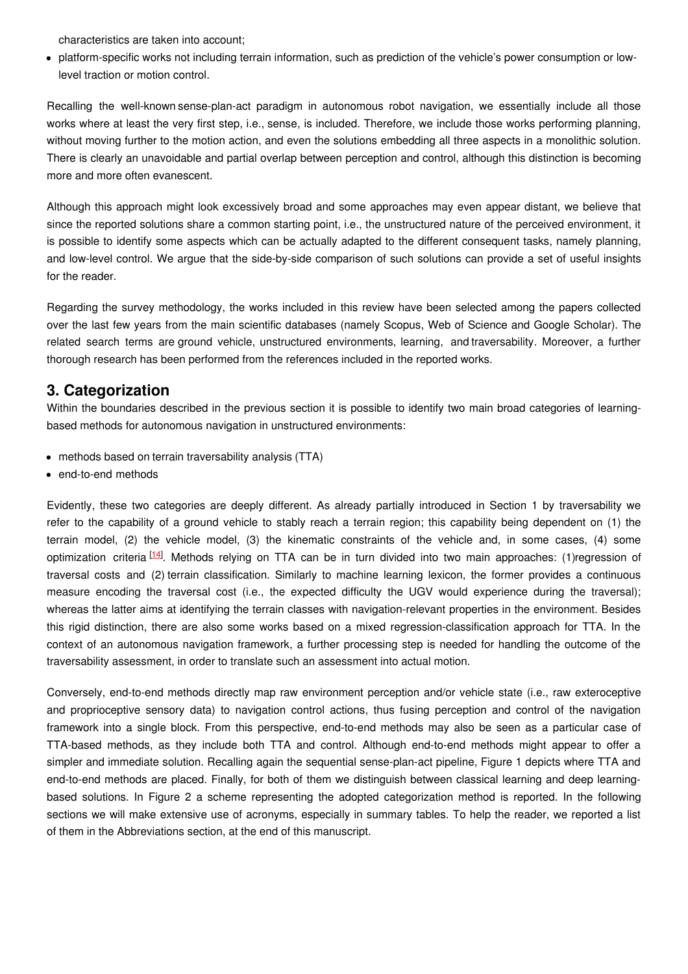characteristics are taken into account;

platform-specific works not including terrain information, such as prediction of the vehicle's power consumption or lowlevel traction or motion control.

Recalling the well-known sense-plan-act paradigm in autonomous robot navigation, we essentially include all those works where at least the very first step, i.e., sense, is included. Therefore, we include those works performing planning, without moving further to the motion action, and even the solutions embedding all three aspects in a monolithic solution. There is clearly an unavoidable and partial overlap between perception and control, although this distinction is becoming more and more often evanescent.

Although this approach might look excessively broad and some approaches may even appear distant, we believe that since the reported solutions share a common starting point, i.e., the unstructured nature of the perceived environment, it is possible to identify some aspects which can be actually adapted to the different consequent tasks, namely planning, and low-level control. We argue that the side-by-side comparison of such solutions can provide a set of useful insights for the reader.

Regarding the survey methodology, the works included in this review have been selected among the papers collected over the last few years from the main scientific databases (namely Scopus, Web of Science and Google Scholar). The related search terms are ground vehicle, unstructured environments, learning, and traversability. Moreover, a further thorough research has been performed from the references included in the reported works.

## **3. Categorization**

Within the boundaries described in the previous section it is possible to identify two main broad categories of learningbased methods for autonomous navigation in unstructured environments:

- methods based on terrain traversability analysis (TTA)
- end-to-end methods

Evidently, these two categories are deeply different. As already partially introduced in Section 1 by traversability we refer to the capability of a ground vehicle to stably reach a terrain region; this capability being dependent on (1) the terrain model, (2) the vehicle model, (3) the kinematic constraints of the vehicle and, in some cases, (4) some optimization criteria <sup>[\[14](#page-3-13)]</sup>. Methods relying on TTA can be in turn divided into two main approaches: (1)regression of traversal costs and (2) terrain classification. Similarly to machine learning lexicon, the former provides a continuous measure encoding the traversal cost (i.e., the expected difficulty the UGV would experience during the traversal); whereas the latter aims at identifying the terrain classes with navigation-relevant properties in the environment. Besides this rigid distinction, there are also some works based on a mixed regression-classification approach for TTA. In the context of an autonomous navigation framework, a further processing step is needed for handling the outcome of the traversability assessment, in order to translate such an assessment into actual motion.

Conversely, end-to-end methods directly map raw environment perception and/or vehicle state (i.e., raw exteroceptive and proprioceptive sensory data) to navigation control actions, thus fusing perception and control of the navigation framework into a single block. From this perspective, end-to-end methods may also be seen as a particular case of TTA-based methods, as they include both TTA and control. Although end-to-end methods might appear to offer a simpler and immediate solution. Recalling again the sequential sense-plan-act pipeline, Figure 1 depicts where TTA and end-to-end methods are placed. Finally, for both of them we distinguish between classical learning and deep learningbased solutions. In Figure 2 a scheme representing the adopted categorization method is reported. In the following sections we will make extensive use of acronyms, especially in summary tables. To help the reader, we reported a list of them in the Abbreviations section, at the end of this manuscript.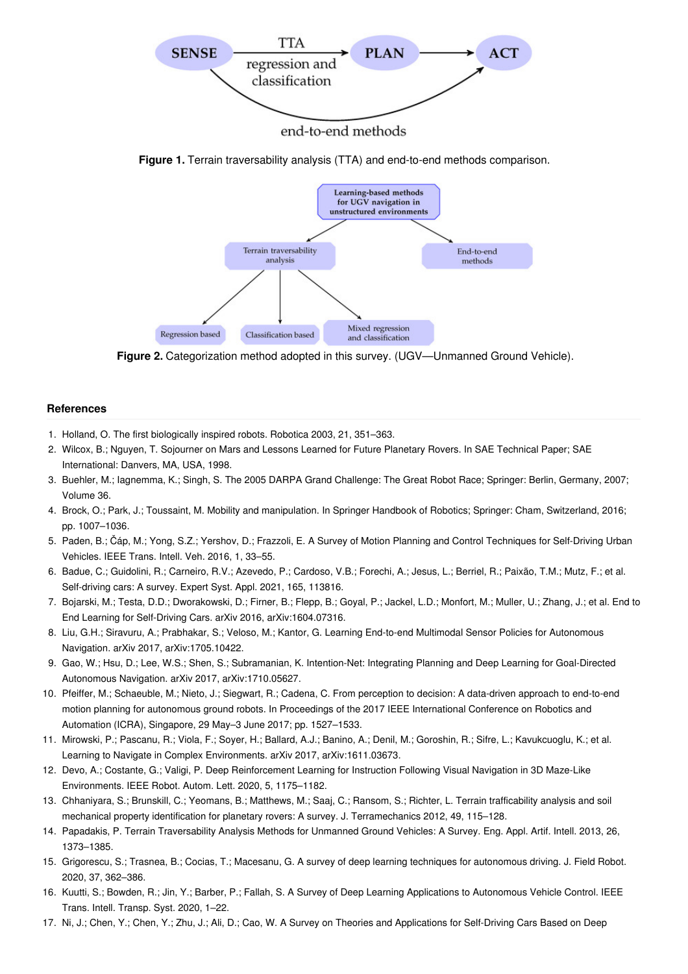

end-to-end methods

**Figure 1.** Terrain traversability analysis (TTA) and end-to-end methods comparison.



**Figure 2.** Categorization method adopted in this survey. (UGV—Unmanned Ground Vehicle).

#### **References**

- <span id="page-3-0"></span>1. Holland, O. The first biologically inspired robots. Robotica 2003, 21, 351–363.
- <span id="page-3-1"></span>2. Wilcox, B.; Nguyen, T. Sojourner on Mars and Lessons Learned for Future Planetary Rovers. In SAE Technical Paper; SAE International: Danvers, MA, USA, 1998.
- <span id="page-3-2"></span>3. Buehler, M.; Iagnemma, K.; Singh, S. The 2005 DARPA Grand Challenge: The Great Robot Race; Springer: Berlin, Germany, 2007; Volume 36.
- <span id="page-3-3"></span>4. Brock, O.; Park, J.; Toussaint, M. Mobility and manipulation. In Springer Handbook of Robotics; Springer: Cham, Switzerland, 2016; pp. 1007–1036.
- <span id="page-3-4"></span>5. Paden, B.; Čáp, M.; Yong, S.Z.; Yershov, D.; Frazzoli, E. A Survey of Motion Planning and Control Techniques for Self-Driving Urban Vehicles. IEEE Trans. Intell. Veh. 2016, 1, 33–55.
- <span id="page-3-5"></span>6. Badue, C.; Guidolini, R.; Carneiro, R.V.; Azevedo, P.; Cardoso, V.B.; Forechi, A.; Jesus, L.; Berriel, R.; Paixão, T.M.; Mutz, F.; et al. Self-driving cars: A survey. Expert Syst. Appl. 2021, 165, 113816.
- <span id="page-3-6"></span>7. Bojarski, M.; Testa, D.D.; Dworakowski, D.; Firner, B.; Flepp, B.; Goyal, P.; Jackel, L.D.; Monfort, M.; Muller, U.; Zhang, J.; et al. End to End Learning for Self-Driving Cars. arXiv 2016, arXiv:1604.07316.
- <span id="page-3-7"></span>8. Liu, G.H.; Siravuru, A.; Prabhakar, S.; Veloso, M.; Kantor, G. Learning End-to-end Multimodal Sensor Policies for Autonomous Navigation. arXiv 2017, arXiv:1705.10422.
- <span id="page-3-8"></span>9. Gao, W.; Hsu, D.; Lee, W.S.; Shen, S.; Subramanian, K. Intention-Net: Integrating Planning and Deep Learning for Goal-Directed Autonomous Navigation. arXiv 2017, arXiv:1710.05627.
- <span id="page-3-9"></span>10. Pfeiffer, M.; Schaeuble, M.; Nieto, J.; Siegwart, R.; Cadena, C. From perception to decision: A data-driven approach to end-to-end motion planning for autonomous ground robots. In Proceedings of the 2017 IEEE International Conference on Robotics and Automation (ICRA), Singapore, 29 May–3 June 2017; pp. 1527–1533.
- <span id="page-3-10"></span>11. Mirowski, P.; Pascanu, R.; Viola, F.; Soyer, H.; Ballard, A.J.; Banino, A.; Denil, M.; Goroshin, R.; Sifre, L.; Kavukcuoglu, K.; et al. Learning to Navigate in Complex Environments. arXiv 2017, arXiv:1611.03673.
- <span id="page-3-11"></span>12. Devo, A.; Costante, G.; Valigi, P. Deep Reinforcement Learning for Instruction Following Visual Navigation in 3D Maze-Like Environments. IEEE Robot. Autom. Lett. 2020, 5, 1175–1182.
- <span id="page-3-12"></span>13. Chhaniyara, S.; Brunskill, C.; Yeomans, B.; Matthews, M.; Saaj, C.; Ransom, S.; Richter, L. Terrain trafficability analysis and soil mechanical property identification for planetary rovers: A survey. J. Terramechanics 2012, 49, 115–128.
- <span id="page-3-13"></span>14. Papadakis, P. Terrain Traversability Analysis Methods for Unmanned Ground Vehicles: A Survey. Eng. Appl. Artif. Intell. 2013, 26, 1373–1385.
- <span id="page-3-14"></span>15. Grigorescu, S.; Trasnea, B.; Cocias, T.; Macesanu, G. A survey of deep learning techniques for autonomous driving. J. Field Robot. 2020, 37, 362–386.
- <span id="page-3-15"></span>16. Kuutti, S.; Bowden, R.; Jin, Y.; Barber, P.; Fallah, S. A Survey of Deep Learning Applications to Autonomous Vehicle Control. IEEE Trans. Intell. Transp. Syst. 2020, 1–22.
- <span id="page-3-16"></span>17. Ni, J.; Chen, Y.; Chen, Y.; Zhu, J.; Ali, D.; Cao, W. A Survey on Theories and Applications for Self-Driving Cars Based on Deep